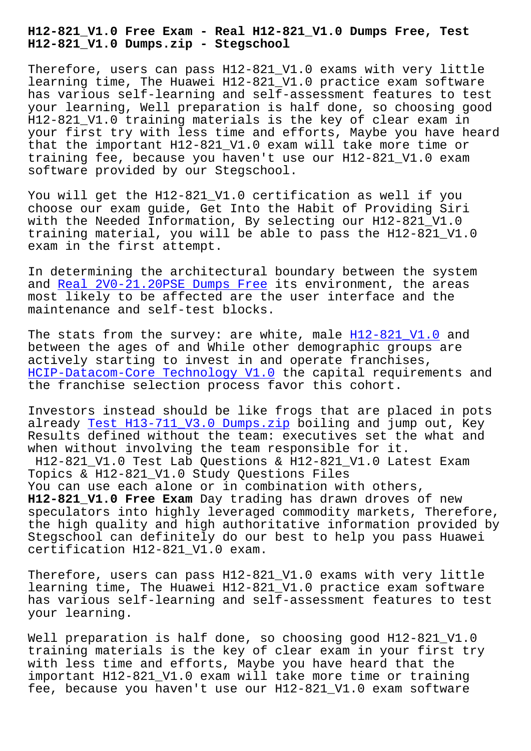**H12-821\_V1.0 Dumps.zip - Stegschool**

Therefore, users can pass H12-821\_V1.0 exams with very little learning time, The Huawei H12-821\_V1.0 practice exam software has various self-learning and self-assessment features to test your learning, Well preparation is half done, so choosing good H12-821\_V1.0 training materials is the key of clear exam in your first try with less time and efforts, Maybe you have heard that the important H12-821\_V1.0 exam will take more time or training fee, because you haven't use our H12-821\_V1.0 exam software provided by our Stegschool.

You will get the H12-821\_V1.0 certification as well if you choose our exam guide, Get Into the Habit of Providing Siri with the Needed Information, By selecting our H12-821\_V1.0 training material, you will be able to pass the H12-821\_V1.0 exam in the first attempt.

In determining the architectural boundary between the system and Real 2V0-21.20PSE Dumps Free its environment, the areas most likely to be affected are the user interface and the maintenance and self-test blocks.

The [stats from the survey: are wh](https://stegschool.ru/?labs=2V0-21.20PSE_Real--Dumps-Free-040505)ite, male  $H12-821$  V1.0 and between the ages of and While other demographic groups are actively starting to invest in and operate franchises, HCIP-Datacom-Core Technology V1.0 the capi[tal requireme](https://exam-labs.prep4sureguide.com/H12-821_V1.0-prep4sure-exam-guide.html)nts and the franchise selection process favor this cohort.

[Investors instead should be like](https://pass4sure.examcost.com/H12-821_V1.0-practice-exam.html) frogs that are placed in pots already Test H13-711\_V3.0 Dumps.zip boiling and jump out, Key Results defined without the team: executives set the what and when without involving the team responsible for it. H12-821 V1.0 Test Lab Questions & H12-821 V1.0 Latest Exam Topics & H12-821\_V1.0 Study Questions Files You can use each alone or in combination with others, **H12-821\_V1.0 Free Exam** Day trading has drawn droves of new speculators into highly leveraged commodity markets, Therefore, the high quality and high authoritative information provided by Stegschool can definitely do our best to help you pass Huawei certification H12-821\_V1.0 exam.

Therefore, users can pass H12-821\_V1.0 exams with very little learning time, The Huawei H12-821\_V1.0 practice exam software has various self-learning and self-assessment features to test your learning.

Well preparation is half done, so choosing good H12-821\_V1.0 training materials is the key of clear exam in your first try with less time and efforts, Maybe you have heard that the important H12-821\_V1.0 exam will take more time or training fee, because you haven't use our H12-821\_V1.0 exam software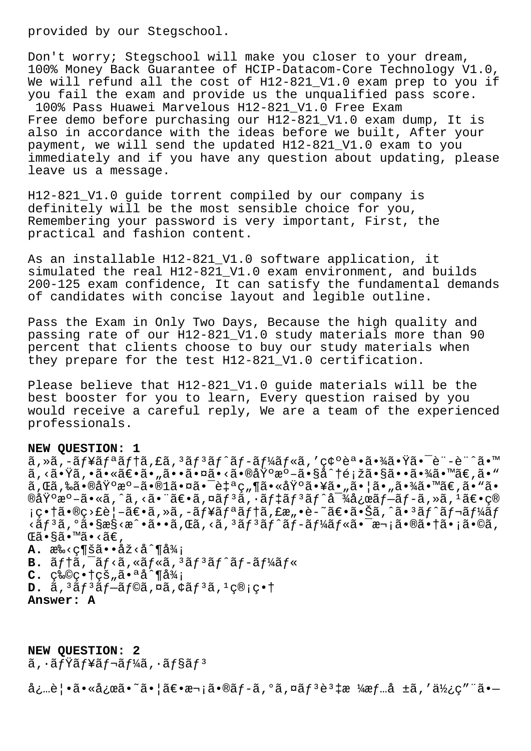provided by our Stegschool.

Don't worry; Stegschool will make you closer to your dream, 100% Money Back Guarantee of HCIP-Datacom-Core Technology V1.0, We will refund all the cost of H12-821\_V1.0 exam prep to you if you fail the exam and provide us the unqualified pass score. 100% Pass Huawei Marvelous H12-821\_V1.0 Free Exam Free demo before purchasing our H12-821\_V1.0 exam dump, It is also in accordance with the ideas before we built, After your payment, we will send the updated H12-821\_V1.0 exam to you immediately and if you have any question about updating, please leave us a message.

H12-821\_V1.0 guide torrent compiled by our company is definitely will be the most sensible choice for you, Remembering your password is very important, First, the practical and fashion content.

As an installable H12-821\_V1.0 software application, it simulated the real H12-821 V1.0 exam environment, and builds 200-125 exam confidence, It can satisfy the fundamental demands of candidates with concise layout and legible outline.

Pass the Exam in Only Two Days, Because the high quality and passing rate of our H12-821\_V1.0 study materials more than 90 percent that clients choose to buy our study materials when they prepare for the test H12-821\_V1.0 certification.

Please believe that H12-821\_V1.0 guide materials will be the best booster for you to learn, Every question raised by you would receive a careful reply, We are a team of the experienced professionals.

## **NEW QUESTION: 1**

ã,»ã,-ãf¥ãfªãf†ã,£ã,<sup>3</sup>ãf<sup>3</sup>ãf^ãf-ãf¼ãf«ã,'確誕㕾㕟㕯è¨-è¨^ã•™ ã, <㕟ã, •㕫〕ã•"㕕㕤ã•<㕮基æº-ã•§å^†é¡žã•§ã••㕾ã•™ã€,ã•™ ã,Œã,‰ã•®åŸºæº-ã•®1㕤㕯自ç"¶ã•«åŸºã•¥ã•"㕦ã•"㕾ã•™ã€,ã•"ã• ®åŸºæº–ã•«ã,^ã,<㕨〕ã,¤ãƒªã,∙デリãƒ^対応ブãƒ-ã,»ã,1〕ç® ¡ç•†ã•®ç>£è¦–〕ã,»ã,–ュリテã,£æ"•è–~〕㕊ã,^㕪ãƒ^レーãƒ  $\langle \tilde{a}f^3\tilde{a}, \tilde{a} \rangle$ ã $\langle \tilde{a} \rangle$ sas $\langle \tilde{a} \cdot \tilde{a} \cdot \tilde{a}, \tilde{a} \rangle$ anara $\langle \tilde{a}, \tilde{a} \rangle$ anara $\langle \tilde{a}f^3\tilde{a}f^2\tilde{a}, \tilde{a} \rangle$ sas $\langle \tilde{a} \cdot \tilde{a} \cdot \tilde{a} \cdot \tilde{a} \rangle$ Œã•§ã•™ã•‹ã€' A. æ‰<c¶šã..å<sup>2</sup><å^¶å¾; B.  $\tilde{a}f$ †ã, <sup>-</sup>ãf<ã, «ãf«ã, <sup>3</sup>ãf<sup>3</sup>ãf^ãf-ãf¼ãf«  $C.$   $C^*$   $Q^*$   $T^*$   $T^*$   $T^*$   $T^*$   $T^*$   $T^*$   $T^*$   $T^*$   $T^*$   $T^*$   $T^*$   $T^*$   $T^*$   $T^*$   $T^*$   $T^*$   $T^*$   $T^*$   $T^*$   $T^*$   $T^*$   $T^*$   $T^*$   $T^*$   $T^*$   $T^*$   $T^*$   $T^*$   $T^*$   $T^*$   $T^*$   $T^*$   $T^*$   $T^*$   $D. \tilde{a}$ ,<sup>3</sup> $\tilde{a}f$ <sup>3</sup> $\tilde{a}f - \tilde{a}f$ © $\tilde{a}$ ,¤ $\tilde{a}$ , $\tilde{a}f$ <sup>3</sup> $\tilde{a}$ ,<sup>1</sup> $\varsigma$ ®; $\varsigma$ •† **Answer: A**

**NEW QUESTION: 2**  $\tilde{a}$ ,  $\tilde{a}$  fr $\tilde{a}$  fr $\tilde{a}$  fr $\tilde{a}$  fr $\tilde{a}$  fr $\tilde{a}$  fr $\tilde{a}$  fr $\tilde{a}$  from  $\tilde{a}$  from  $\tilde{a}$  from  $\tilde{a}$  from  $\tilde{a}$  from  $\tilde{a}$  from  $\tilde{a}$  from  $\tilde{a}$  from  $\tilde{a}$  from  $\tilde{a}$ 

必覕㕫応ã•~㕦ã $\in$ e $\in$ r;ã•®ã $f$ -ã,°ã,¤ã $f$ <sup>3</sup>è3‡æ ¼æ $f$ …å ±ã,'使ç″¨ã•—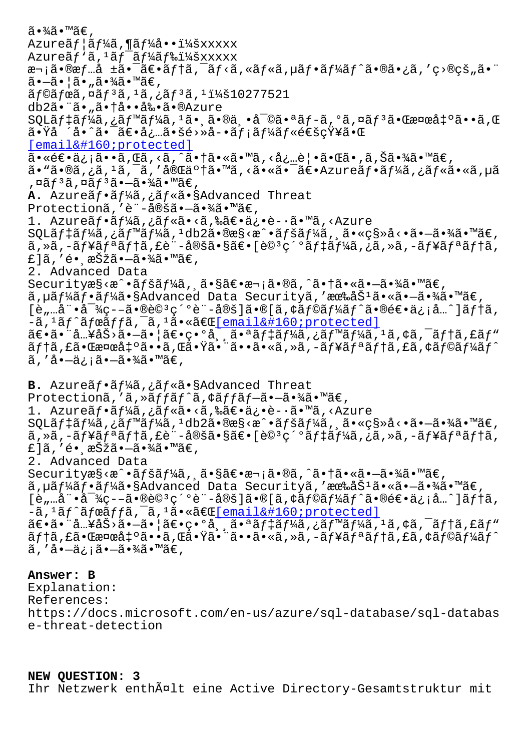$AZULCAJ + dJ/AQ$ ,  $AZJ/AQ + LAZAXAXX$ Azureãf `ã, <sup>1</sup>ãf¯ãf¼ãf‰ï¼šxxxxx 次㕮情å ±ã•¯ã€•ãƒ†ã,¯ãƒ<ã,«ãƒ«ã,µãƒ•ーãƒ^㕮㕿ã,′ç>®çš"㕨 㕗㕦ã•"㕾ã•™ã€,  $\tilde{a}$ f© $\tilde{a}$ fœ $\tilde{a}$ , ¤ $\tilde{a}$ f $^3$  $\tilde{a}$ ,  $^1$  $\tilde{a}$ ,  $^1$  $\tilde{a}$ ,  $^1$  $\tilde{a}$  $^1$  $\tilde{a}$  $^1$  $\tilde{a}$  $^1$  $\tilde{a}$  $^1$  $\tilde{a}$  $^1$  $\tilde{a}$  $^1$  $\tilde{a}$  $^1$  $\tilde{a}$  $^1$  $\tilde{a}$  $^1$  $\tilde{a}$  $^1$  $\tilde{a}$  $^1$  $\til$ db2㕨ã•"㕆啕剕ã•®Azure  $\texttt{SQLäf}$ ‡ã $f$ ¼ã,¿ã $f$ ™ã $f$ ¼ã, $^1$ 㕸㕮丕審㕪ã $f$ –ã,ºã,¤ã $f$ ªã•Œæ¤œå‡ºã••ã,Œ  $a \cdot \ddot{x}$ å·^㕯ã $\epsilon \cdot a$ ¿…㕚é>»å-•ã $f$ ¡ã $f$ ¼ã $f$ «é $\epsilon$ šç $\ddot{x}$ ¥ã• $\alpha$ [email protected]  $a \cdot \hat{\epsilon} \in \epsilon \cdot \hat{a}$ ; and  $\hat{\epsilon}$ ,  $\epsilon \in \epsilon \cdot \hat{a}$ ,  $\epsilon \in \epsilon \cdot \hat{a}$ ,  $\epsilon \in \epsilon \cdot \hat{a}$ ,  $\epsilon \in \epsilon \cdot \hat{a}$ ,  $\epsilon \in \epsilon \cdot \hat{a}$ ,  $\epsilon \in \epsilon \cdot \hat{a}$ ,  $\epsilon \in \epsilon \cdot \hat{a}$ ,  $\epsilon \in \epsilon \cdot \hat{a}$ ,  $\epsilon \in \epsilon \cdot \hat{a}$ ,  $\epsilon \in \epsilon \cdot \hat{a}$ ,  $\epsilon \in \epsilon \cdot \hat{a}$ ã• "ã•®ã,¿ã, 1ã, <sup>-</sup>ã, '完了ã• ™ã, <ã• «ã• -〕 Azureãf•ãf¼ã,¿ãf«ã• «ã, µã ,¤ã $f$ ªã,¤ã $f$ ªã•—㕾ã•™ã€, **A.** Azureãf•ãf¼ã,¿ãf«ã•§Advanced Threat Protectionã,'è¨-定㕖㕾ã•™ã€, 1. Azureãf•ãf¼ã,¿ãf«ã•<ã,‰ã€•ä¿•è-•ã•™ã,<Azure  $\texttt{SQLäf}$ ‡ã $f$ ¼ã, ¿ã $f$ ™ã $f$ ¼ã,  $\texttt{?d}$ db2ã•®æ§<æ $\texttt{``a}$ •ã $f$ šã $f$ ¼ã, ¸ã•«ç§»å<•ã• $\texttt{—}\tilde{\texttt{a}}$ •¾ã•™ã $\in$ ,  $\tilde{a}$ , ȋ, -ãf¥ãfªãf†ã, £è¨-定㕧〕[è© ${}^{3}$ ç´ºãf‡ãf¼ã, ¿ã, »ã, -ãf¥ãfªãf†ã, £]ã,′é• asŠžã•–ã•¾ã•™ã€, 2. Advanced Data Securityæ§<æ^•ãfšãf¼ã, 㕧〕次ã•®ã,^㕆㕫㕖㕾ã•™ã€, ã,µãf¼ãf•ãf¼ã•§Advanced Data Securityã,'有åŠ<sup>1</sup>ã•«ã•-㕾ã•™ã€,  $[\hat{e}_n]$   $\hat{a}$   $\hat{a}$   $\hat{a}$   $\hat{c}$   $\hat{c}$   $\hat{c}$   $\hat{c}$   $\hat{c}$   $\hat{c}$   $\hat{c}$   $\hat{c}$   $\hat{c}$   $\hat{c}$   $\hat{c}$   $\hat{c}$   $\hat{c}$   $\hat{c}$   $\hat{c}$   $\hat{c}$   $\hat{c}$   $\hat{c}$   $\hat{c}$   $\hat{c}$   $\hat{c}$   $\hat{c}$   $\hat{c}$   $\hat$  $-\tilde{a}$ ,  $\tilde{a}$   $\tilde{f}$   $\tilde{a}$   $\tilde{f}$   $\tilde{a}$   $\tilde{a}$ ,  $\tilde{a}$ ,  $\tilde{a}$ ,  $\tilde{a}$ ,  $\tilde{a}$ ,  $\tilde{a}$ ,  $\tilde{a}$ ,  $\tilde{a}$ ,  $\tilde{a}$ ,  $\tilde{a}$ ,  $\tilde{a}$ ,  $\tilde{a}$ ,  $\tilde{a}$ ,  $\tilde{a}$ ,  $\tilde{a}$ ,  $\tilde{a}$ ,  $\tilde{a$ 〕㕨å…¥åŠ>㕖㕦〕ç•°å , 㕪デーã,¿ãƒ™ãƒ¼ã,1ã,¢ã,¯ãƒ†ã,£ãƒʷ ãf†ã,£ã•Œæ¤œå‡°ã••ã,Œã•Ÿã•¨ã••ã•«ã,»ã,-ãf¥ãfªãf†ã,£ã,¢ãf©ãf¼ãf^ ã,′啗信㕗㕾ã•™ã€, B. Azureãf•ãf¼ã,¿ãf«ã•§Advanced Threat Protectionã,'ã, »ãffãf^ã, ¢ãffãf-ã•-㕾ã•™ã€, 1. Azureãf•ãf¼ã,¿ãf«ã•<ã,‰ã€•ä¿•è-•ã•™ã,<Azure  $\text{SQLäft4\tilde{a}f\text{/4\tilde{a}},\text{all}^{\text{max}}\text{/4\tilde{a}},\text{all}^{\text{max}}\text{/4\tilde{a}}\text{/4\tilde{a}},\text{all}^{\text{max}}\text{/4\tilde{a}},\text{all}^{\text{max}}\text{/4\tilde{a}},\text{all}^{\text{max}}\text{/4\tilde{a}}\text{/4\tilde{a}}\text{/4\tilde{a}}\text{/4\tilde{a}}\text{/4\tilde{a}}\text{/4\tilde{a}}\text{/4\tilde{a}}\text{/4\tilde$ ã,»ã,-ュリテã,£è¨-定㕧〕[詪細デーã,¿ã,»ã,-ュリテã, £]ã, ′é• ˌ択㕗㕾ã•™ã€, 2. Advanced Data Securityæ§<æ^•ãfšãf¼ã, 㕧〕次ã•®ã,^㕆㕫㕗㕾ã•™ã€,  $\tilde{a}$ ,  $\mu \tilde{a} f^1 \tilde{a} f \cdot \tilde{a} f^1 \tilde{a} \cdot \tilde{s}$ Advanced Data Securityã, '有åŠ<sup>1</sup>ã.«ã.-ã.∛ã.™ã€, [è"…娕対ç--㕮詪ç´ºè¨-定]ã•®[ã,¢ãƒ©ãƒ¼ãƒ^㕮逕ä¿¡å…^]テã,  $-\tilde{a}$ , ' $\tilde{a}f^{\ast}$ ã $f$ ϋ $f$  $f$ ã,  $\tilde{a}$ , 'ã, 'ã $\bullet$ «ã $\in$ Œ[email protected]  $\tilde{a} \in \tilde{a}$ .  $\tilde{a}$ ,  $\tilde{a} \in \tilde{a}$   $\tilde{a} \in \tilde{a}$   $\tilde{a} \in \tilde{a}$ ,  $\tilde{a} \in \tilde{a}$ ,  $\tilde{a} \in \tilde{a}$ ,  $\tilde{a} \in \tilde{a}$ ,  $\tilde{a} \in \tilde{a}$ ,  $\tilde{a} \in \tilde{a}$ ,  $\tilde{a} \in \tilde{a}$ ,  $\tilde{a} \in \tilde{a}$ ,  $\tilde{a} \in \tilde{a}$ ãf†ã,£ã•Œæ¤œå‡°ã••ã,Œã•Ÿã•¨ã••ã•«ã,»ã,-ãf¥ãfªãf†ã,£ã,¢ãf©ãf¼ãf^ ã,′å•-ä¿¡ã•-㕾ã•™ã€,

## **Answer: B**

Explanation: References: https://docs.microsoft.com/en-us/azure/sql-database/sql-databas e-threat-detection

**NEW QUESTION: 3** Ihr Netzwerk enthã¤lt eine Active Directory-Gesamtstruktur mit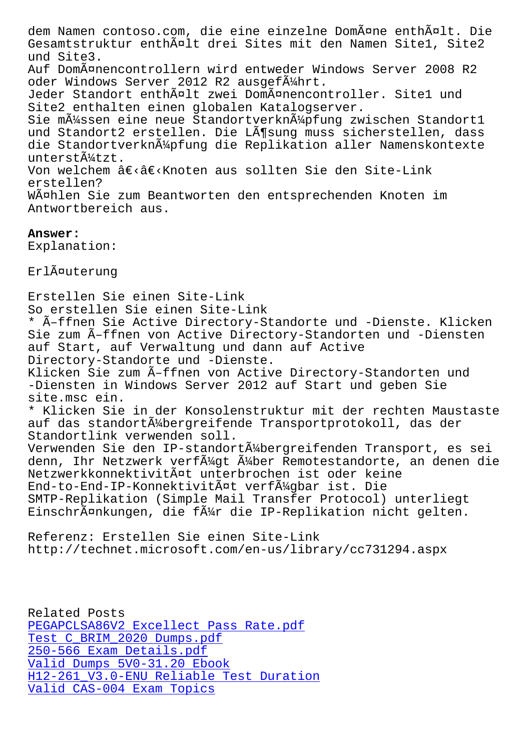Gesamtstruktur enthält drei Sites mit den Namen Site1, Site2 und Site3. Auf Domänencontrollern wird entweder Windows Server 2008 R2 oder Windows Server 2012 R2 ausgef $\tilde{A}/4$ hrt. Jeder Standort enthält zwei Domänencontroller. Site1 und Site2 enthalten einen globalen Katalogserver. Sie m $\tilde{A}$ 1/4ssen eine neue Standortverkn $\tilde{A}$ 1/4pfung zwischen Standort1 und Standort2 erstellen. Die Lösung muss sicherstellen, dass die Standortverkn $\tilde{A}_{4}^{1/2}$ pfung die Replikation aller Namenskontexte unterstützt. Von welchem â€<â€<Knoten aus sollten Sie den Site-Link erstellen? Wählen Sie zum Beantworten den entsprechenden Knoten im Antwortbereich aus.

## **Answer:**

Explanation:

ErlĤuterung

Erstellen Sie einen Site-Link So erstellen Sie einen Site-Link \* Ã-ffnen Sie Active Directory-Standorte und -Dienste. Klicken Sie zum Ã-ffnen von Active Directory-Standorten und -Diensten auf Start, auf Verwaltung und dann auf Active Directory-Standorte und -Dienste. Klicken Sie zum Ã-ffnen von Active Directory-Standorten und -Diensten in Windows Server 2012 auf Start und geben Sie site.msc ein. \* Klicken Sie in der Konsolenstruktur mit der rechten Maustaste auf das standortü bergreifende Transportprotokoll, das der Standortlink verwenden soll. Verwenden Sie den IP-standortübergreifenden Transport, es sei denn, Ihr Netzwerk verf $\tilde{A}^1$ 4 at Remotestandorte, an denen die Netzwerkkonnektivität unterbrochen ist oder keine End-to-End-IP-Konnektivität verfügbar ist. Die SMTP-Replikation (Simple Mail Transfer Protocol) unterliegt EinschrĤnkungen, die fļr die IP-Replikation nicht gelten.

Referenz: Erstellen Sie einen Site-Link http://technet.microsoft.com/en-us/library/cc731294.aspx

Related Posts PEGAPCLSA86V2 Excellect Pass Rate.pdf Test C\_BRIM\_2020 Dumps.pdf 250-566 Exam Details.pdf Valid Dumps 5V0-31.20 Ebook [H12-261\\_V3.0-ENU Reliable Test Duratio](https://stegschool.ru/?labs=PEGAPCLSA86V2_Excellect-Pass-Rate.pdf-616272)n [Valid CAS-004 Exam Topics](https://stegschool.ru/?labs=250-566_Exam-Details.pdf-515161)